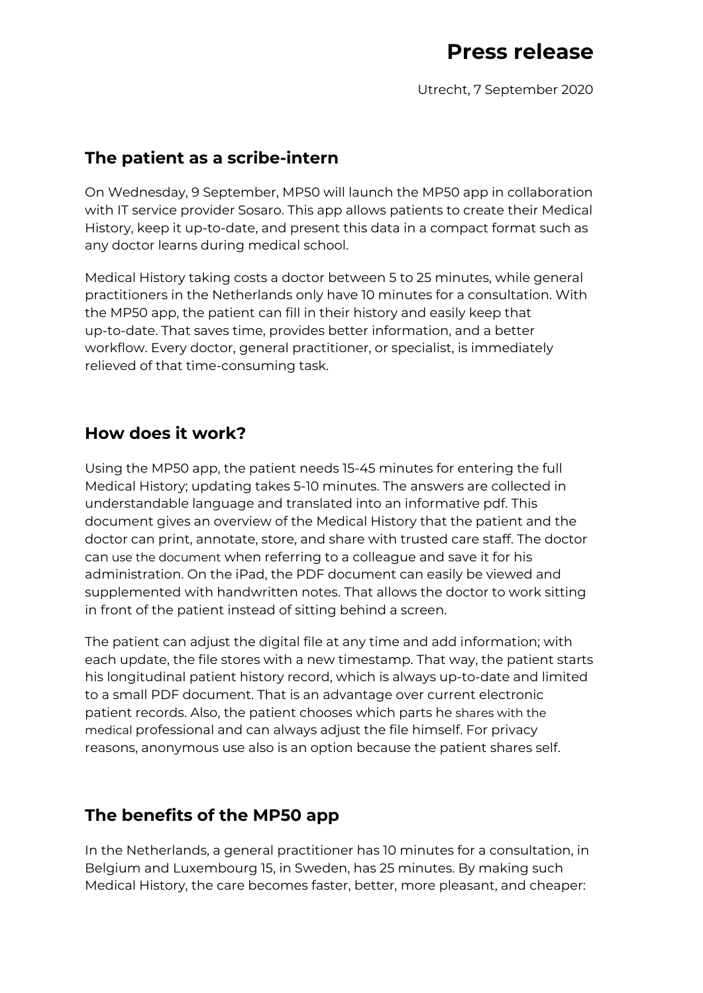Utrecht, 7 September 2020

### **The patient as a scribe-intern**

On Wednesday, 9 September, MP50 will launch the MP50 app in collaboration with IT service provider Sosaro. This app allows patients to create their Medical History, keep it up-to-date, and present this data in a compact format such as any doctor learns during medical school.

Medical History taking costs a doctor between 5 to 25 minutes, while general practitioners in the Netherlands only have 10 minutes for a consultation. With the MP50 app, the patient can fill in their history and easily keep that up-to-date. That saves time, provides better information, and a better workflow. Every doctor, general practitioner, or specialist, is immediately relieved of that time-consuming task.

## **How does it work?**

Using the MP50 app, the patient needs 15-45 minutes for entering the full Medical History; updating takes 5-10 minutes. The answers are collected in understandable language and translated into an informative pdf. This document gives an overview of the Medical History that the patient and the doctor can print, annotate, store, and share with trusted care staff. The doctor can use the document when referring to a colleague and save it for his administration. On the iPad, the PDF document can easily be viewed and supplemented with handwritten notes. That allows the doctor to work sitting in front of the patient instead of sitting behind a screen.

The patient can adjust the digital file at any time and add information; with each update, the file stores with a new timestamp. That way, the patient starts his longitudinal patient history record, which is always up-to-date and limited to a small PDF document. That is an advantage over current electronic patient records. Also, the patient chooses which parts he shares with the medical professional and can always adjust the file himself. For privacy reasons, anonymous use also is an option because the patient shares self.

### **The benefits of the MP50 app**

In the Netherlands, a general practitioner has 10 minutes for a consultation, in Belgium and Luxembourg 15, in Sweden, has 25 minutes. By making such Medical History, the care becomes faster, better, more pleasant, and cheaper: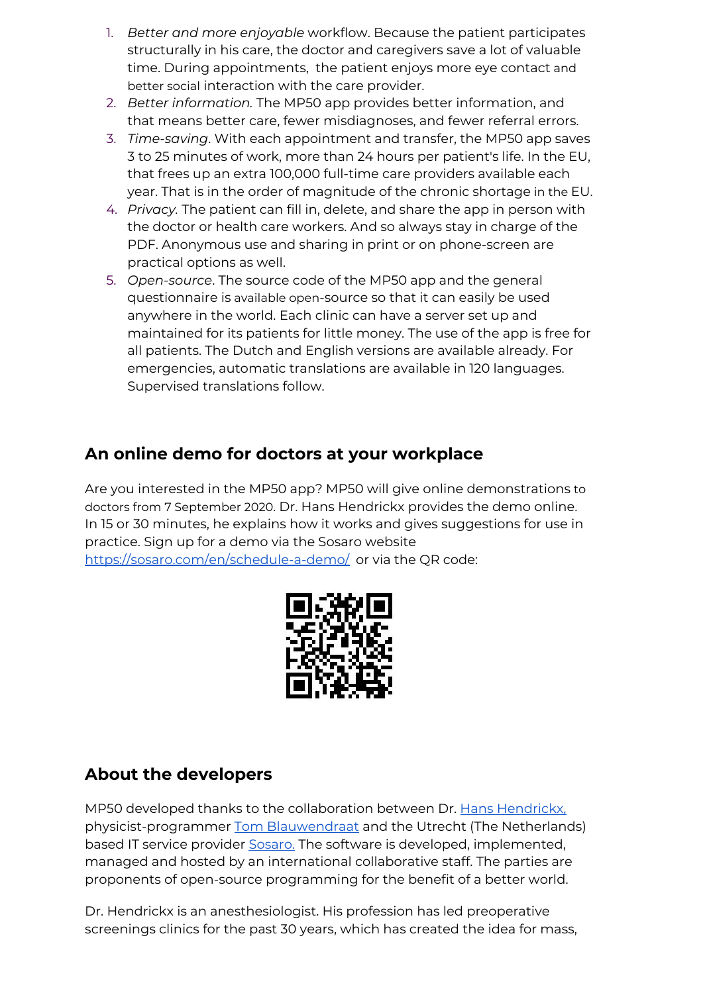- 1. *Better and more enjoyable* workflow. Because the patient participates structurally in his care, the doctor and caregivers save a lot of valuable time. During appointments, the patient enjoys more eye contact and better social interaction with the care provider.
- 2. *Better information.* The MP50 app provides better information, and that means better care, fewer misdiagnoses, and fewer referral errors.
- 3. *Time-saving*. With each appointment and transfer, the MP50 app saves 3 to 25 minutes of work, more than 24 hours per patient's life. In the EU, that frees up an extra 100,000 full-time care providers available each year. That is in the order of magnitude of the chronic shortage in the EU.
- 4. *Privacy.* The patient can fill in, delete, and share the app in person with the doctor or health care workers. And so always stay in charge of the PDF. Anonymous use and sharing in print or on phone-screen are practical options as well.
- 5. *Open-source*. The source code of the MP50 app and the general questionnaire is available open-source so that it can easily be used anywhere in the world. Each clinic can have a server set up and maintained for its patients for little money. The use of the app is free for all patients. The Dutch and English versions are available already. For emergencies, automatic translations are available in 120 languages. Supervised translations follow.

# **An online demo for doctors at your workplace**

Are you interested in the MP50 app? MP50 will give online demonstrations to doctors from 7 September 2020. Dr. Hans Hendrickx provides the demo online. In 15 or 30 minutes, he explains how it works and gives suggestions for use in practice. Sign up for a demo via the Sosaro website [https://sosaro.com/en/schedule-a-demo/](https://sosaro.com/nl/schedule-a-demo/) or via the QR code:



### **About the developers**

MP50 developed thanks to the collaboration between Dr[.](https://www.linkedin.com/in/dr-hans-hendrickx-2356b414/?originalSubdomain=nl) Hans [Hendrickx,](https://www.linkedin.com/in/dr-hans-hendrickx-2356b414/?originalSubdomain=nl) physicist-programmer [T](https://therp.nl/page/overons)om [Blauwendraat](https://therp.nl/page/overons) and the Utrecht (The Netherlands) based IT service provider [Sosaro.](https://sosaro.com/) The software is developed, implemented, managed and hosted by an international collaborative staff. The parties are proponents of open-source programming for the benefit of a better world.

Dr. Hendrickx is an anesthesiologist. His profession has led preoperative screenings clinics for the past 30 years, which has created the idea for mass,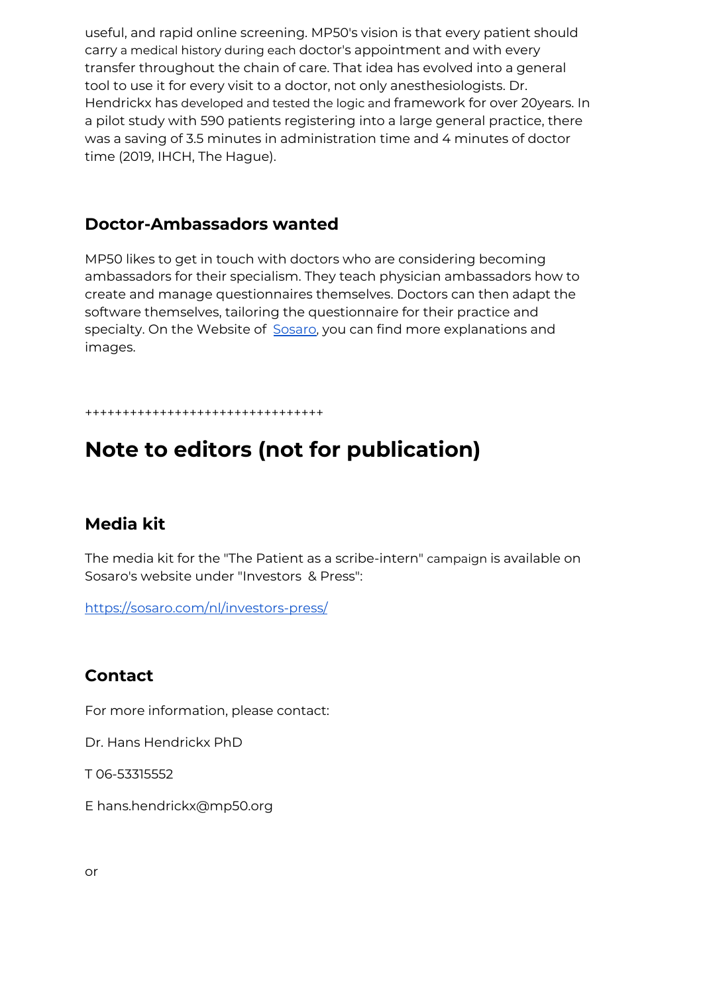useful, and rapid online screening. MP50's vision is that every patient should carry a medical history during each doctor's appointment and with every transfer throughout the chain of care. That idea has evolved into a general tool to use it for every visit to a doctor, not only anesthesiologists. Dr. Hendrickx has developed and tested the logic and framework for over 20years. In a pilot study with 590 patients registering into a large general practice, there was a saving of 3.5 minutes in administration time and 4 minutes of doctor time (2019, IHCH, The Hague).

#### **Doctor-Ambassadors wanted**

MP50 likes to get in touch with doctors who are considering becoming ambassadors for their specialism. They teach physician ambassadors how to create and manage questionnaires themselves. Doctors can then adapt the software themselves, tailoring the questionnaire for their practice and specialty. On the Website of [Sosaro](https://sosaro.com/nl/projecten/#mediprepare), you can find more explanations and images.

++++++++++++++++++++++++++++++++

# **Note to editors (not for publication)**

#### **Media kit**

The media kit for the "The Patient as a scribe-intern" campaign is available on Sosaro's website under "Investors & Press":

[https://sosaro.com/nl/investors-press/](https://sosaro.com/nl/schedule-a-demo/)

#### **Contact**

For more information, please contact:

Dr. Hans Hendrickx PhD

T 06-53315552

E hans.hendrickx@mp50.org